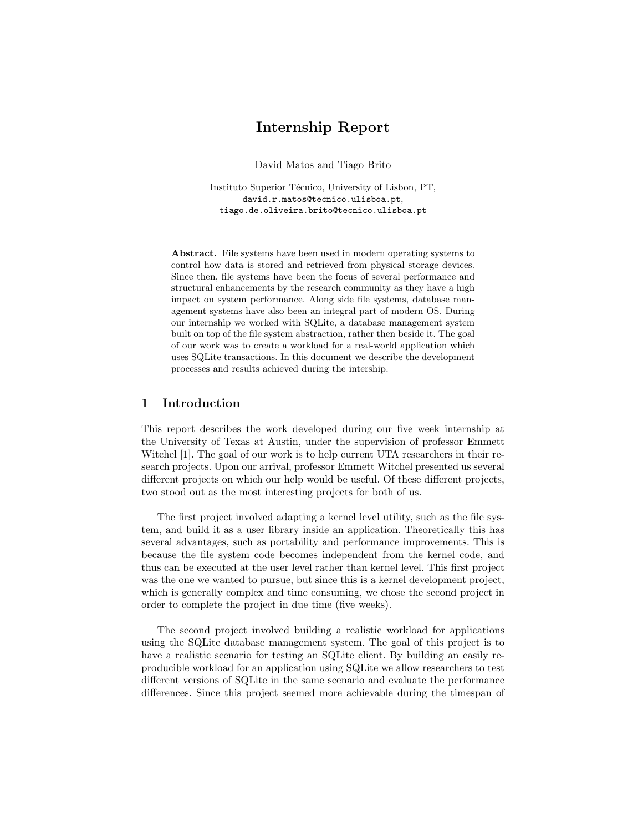# Internship Report

David Matos and Tiago Brito

Instituto Superior Técnico, University of Lisbon, PT, david.r.matos@tecnico.ulisboa.pt, tiago.de.oliveira.brito@tecnico.ulisboa.pt

Abstract. File systems have been used in modern operating systems to control how data is stored and retrieved from physical storage devices. Since then, file systems have been the focus of several performance and structural enhancements by the research community as they have a high impact on system performance. Along side file systems, database management systems have also been an integral part of modern OS. During our internship we worked with SQLite, a database management system built on top of the file system abstraction, rather then beside it. The goal of our work was to create a workload for a real-world application which uses SQLite transactions. In this document we describe the development processes and results achieved during the intership.

### 1 Introduction

This report describes the work developed during our five week internship at the University of Texas at Austin, under the supervision of professor Emmett Witchel [1]. The goal of our work is to help current UTA researchers in their research projects. Upon our arrival, professor Emmett Witchel presented us several different projects on which our help would be useful. Of these different projects, two stood out as the most interesting projects for both of us.

The first project involved adapting a kernel level utility, such as the file system, and build it as a user library inside an application. Theoretically this has several advantages, such as portability and performance improvements. This is because the file system code becomes independent from the kernel code, and thus can be executed at the user level rather than kernel level. This first project was the one we wanted to pursue, but since this is a kernel development project, which is generally complex and time consuming, we chose the second project in order to complete the project in due time (five weeks).

The second project involved building a realistic workload for applications using the SQLite database management system. The goal of this project is to have a realistic scenario for testing an SQLite client. By building an easily reproducible workload for an application using SQLite we allow researchers to test different versions of SQLite in the same scenario and evaluate the performance differences. Since this project seemed more achievable during the timespan of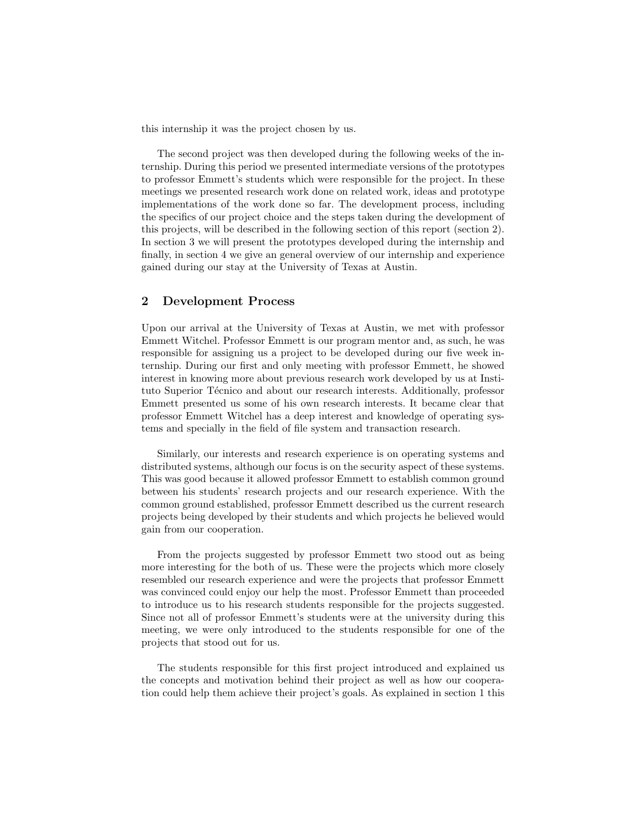this internship it was the project chosen by us.

The second project was then developed during the following weeks of the internship. During this period we presented intermediate versions of the prototypes to professor Emmett's students which were responsible for the project. In these meetings we presented research work done on related work, ideas and prototype implementations of the work done so far. The development process, including the specifics of our project choice and the steps taken during the development of this projects, will be described in the following section of this report (section 2). In section 3 we will present the prototypes developed during the internship and finally, in section 4 we give an general overview of our internship and experience gained during our stay at the University of Texas at Austin.

## 2 Development Process

Upon our arrival at the University of Texas at Austin, we met with professor Emmett Witchel. Professor Emmett is our program mentor and, as such, he was responsible for assigning us a project to be developed during our five week internship. During our first and only meeting with professor Emmett, he showed interest in knowing more about previous research work developed by us at Instituto Superior Técnico and about our research interests. Additionally, professor Emmett presented us some of his own research interests. It became clear that professor Emmett Witchel has a deep interest and knowledge of operating systems and specially in the field of file system and transaction research.

Similarly, our interests and research experience is on operating systems and distributed systems, although our focus is on the security aspect of these systems. This was good because it allowed professor Emmett to establish common ground between his students' research projects and our research experience. With the common ground established, professor Emmett described us the current research projects being developed by their students and which projects he believed would gain from our cooperation.

From the projects suggested by professor Emmett two stood out as being more interesting for the both of us. These were the projects which more closely resembled our research experience and were the projects that professor Emmett was convinced could enjoy our help the most. Professor Emmett than proceeded to introduce us to his research students responsible for the projects suggested. Since not all of professor Emmett's students were at the university during this meeting, we were only introduced to the students responsible for one of the projects that stood out for us.

The students responsible for this first project introduced and explained us the concepts and motivation behind their project as well as how our cooperation could help them achieve their project's goals. As explained in section 1 this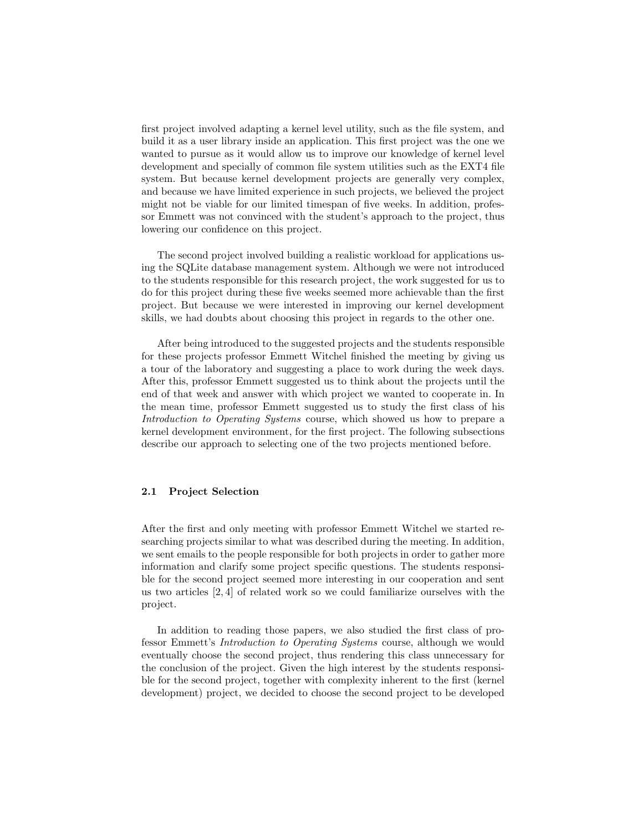first project involved adapting a kernel level utility, such as the file system, and build it as a user library inside an application. This first project was the one we wanted to pursue as it would allow us to improve our knowledge of kernel level development and specially of common file system utilities such as the EXT4 file system. But because kernel development projects are generally very complex, and because we have limited experience in such projects, we believed the project might not be viable for our limited timespan of five weeks. In addition, professor Emmett was not convinced with the student's approach to the project, thus lowering our confidence on this project.

The second project involved building a realistic workload for applications using the SQLite database management system. Although we were not introduced to the students responsible for this research project, the work suggested for us to do for this project during these five weeks seemed more achievable than the first project. But because we were interested in improving our kernel development skills, we had doubts about choosing this project in regards to the other one.

After being introduced to the suggested projects and the students responsible for these projects professor Emmett Witchel finished the meeting by giving us a tour of the laboratory and suggesting a place to work during the week days. After this, professor Emmett suggested us to think about the projects until the end of that week and answer with which project we wanted to cooperate in. In the mean time, professor Emmett suggested us to study the first class of his Introduction to Operating Systems course, which showed us how to prepare a kernel development environment, for the first project. The following subsections describe our approach to selecting one of the two projects mentioned before.

#### 2.1 Project Selection

After the first and only meeting with professor Emmett Witchel we started researching projects similar to what was described during the meeting. In addition, we sent emails to the people responsible for both projects in order to gather more information and clarify some project specific questions. The students responsible for the second project seemed more interesting in our cooperation and sent us two articles [2, 4] of related work so we could familiarize ourselves with the project.

In addition to reading those papers, we also studied the first class of professor Emmett's Introduction to Operating Systems course, although we would eventually choose the second project, thus rendering this class unnecessary for the conclusion of the project. Given the high interest by the students responsible for the second project, together with complexity inherent to the first (kernel development) project, we decided to choose the second project to be developed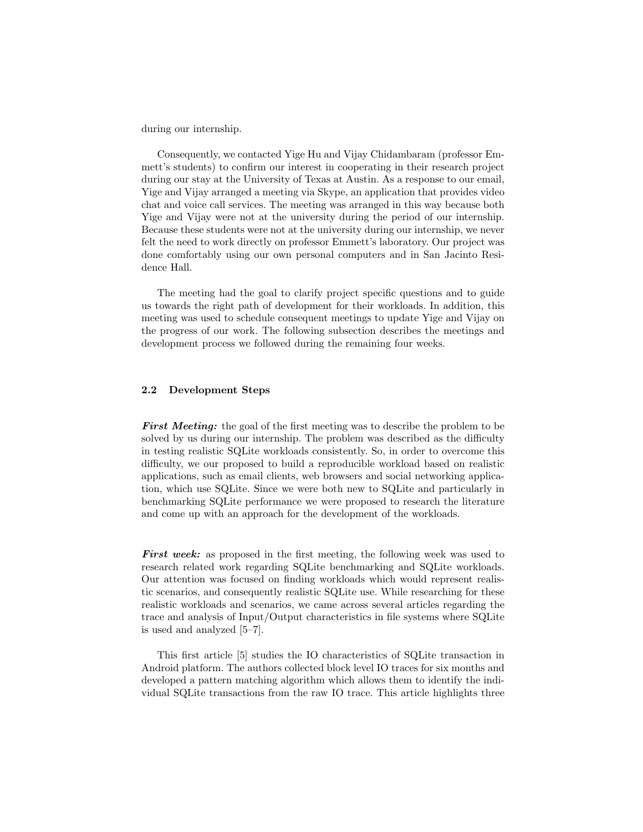during our internship.

Consequently, we contacted Yige Hu and Vijay Chidambaram (professor Emmett's students) to confirm our interest in cooperating in their research project during our stay at the University of Texas at Austin. As a response to our email, Yige and Vijay arranged a meeting via Skype, an application that provides video chat and voice call services. The meeting was arranged in this way because both Yige and Vijay were not at the university during the period of our internship. Because these students were not at the university during our internship, we never felt the need to work directly on professor Emmett's laboratory. Our project was done comfortably using our own personal computers and in San Jacinto Residence Hall.

The meeting had the goal to clarify project specific questions and to guide us towards the right path of development for their workloads. In addition, this meeting was used to schedule consequent meetings to update Yige and Vijay on the progress of our work. The following subsection describes the meetings and development process we followed during the remaining four weeks.

#### 2.2 Development Steps

**First Meeting:** the goal of the first meeting was to describe the problem to be solved by us during our internship. The problem was described as the difficulty in testing realistic SQLite workloads consistently. So, in order to overcome this difficulty, we our proposed to build a reproducible workload based on realistic applications, such as email clients, web browsers and social networking application, which use SQLite. Since we were both new to SQLite and particularly in benchmarking SQLite performance we were proposed to research the literature and come up with an approach for the development of the workloads.

First week: as proposed in the first meeting, the following week was used to research related work regarding SQLite benchmarking and SQLite workloads. Our attention was focused on finding workloads which would represent realistic scenarios, and consequently realistic SQLite use. While researching for these realistic workloads and scenarios, we came across several articles regarding the trace and analysis of Input/Output characteristics in file systems where SQLite is used and analyzed [5–7].

This first article [5] studies the IO characteristics of SQLite transaction in Android platform. The authors collected block level IO traces for six months and developed a pattern matching algorithm which allows them to identify the individual SQLite transactions from the raw IO trace. This article highlights three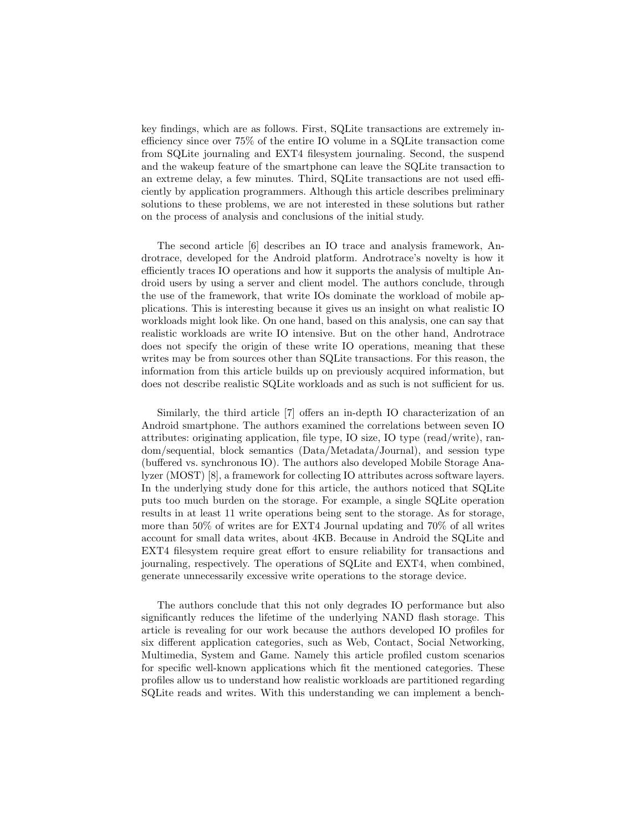key findings, which are as follows. First, SQLite transactions are extremely inefficiency since over 75% of the entire IO volume in a SQLite transaction come from SQLite journaling and EXT4 filesystem journaling. Second, the suspend and the wakeup feature of the smartphone can leave the SQLite transaction to an extreme delay, a few minutes. Third, SQLite transactions are not used efficiently by application programmers. Although this article describes preliminary solutions to these problems, we are not interested in these solutions but rather on the process of analysis and conclusions of the initial study.

The second article [6] describes an IO trace and analysis framework, Androtrace, developed for the Android platform. Androtrace's novelty is how it efficiently traces IO operations and how it supports the analysis of multiple Android users by using a server and client model. The authors conclude, through the use of the framework, that write IOs dominate the workload of mobile applications. This is interesting because it gives us an insight on what realistic IO workloads might look like. On one hand, based on this analysis, one can say that realistic workloads are write IO intensive. But on the other hand, Androtrace does not specify the origin of these write IO operations, meaning that these writes may be from sources other than SQLite transactions. For this reason, the information from this article builds up on previously acquired information, but does not describe realistic SQLite workloads and as such is not sufficient for us.

Similarly, the third article [7] offers an in-depth IO characterization of an Android smartphone. The authors examined the correlations between seven IO attributes: originating application, file type, IO size, IO type (read/write), random/sequential, block semantics (Data/Metadata/Journal), and session type (buffered vs. synchronous IO). The authors also developed Mobile Storage Analyzer (MOST) [8], a framework for collecting IO attributes across software layers. In the underlying study done for this article, the authors noticed that SQLite puts too much burden on the storage. For example, a single SQLite operation results in at least 11 write operations being sent to the storage. As for storage, more than 50% of writes are for EXT4 Journal updating and 70% of all writes account for small data writes, about 4KB. Because in Android the SQLite and EXT4 filesystem require great effort to ensure reliability for transactions and journaling, respectively. The operations of SQLite and EXT4, when combined, generate unnecessarily excessive write operations to the storage device.

The authors conclude that this not only degrades IO performance but also significantly reduces the lifetime of the underlying NAND flash storage. This article is revealing for our work because the authors developed IO profiles for six different application categories, such as Web, Contact, Social Networking, Multimedia, System and Game. Namely this article profiled custom scenarios for specific well-known applications which fit the mentioned categories. These profiles allow us to understand how realistic workloads are partitioned regarding SQLite reads and writes. With this understanding we can implement a bench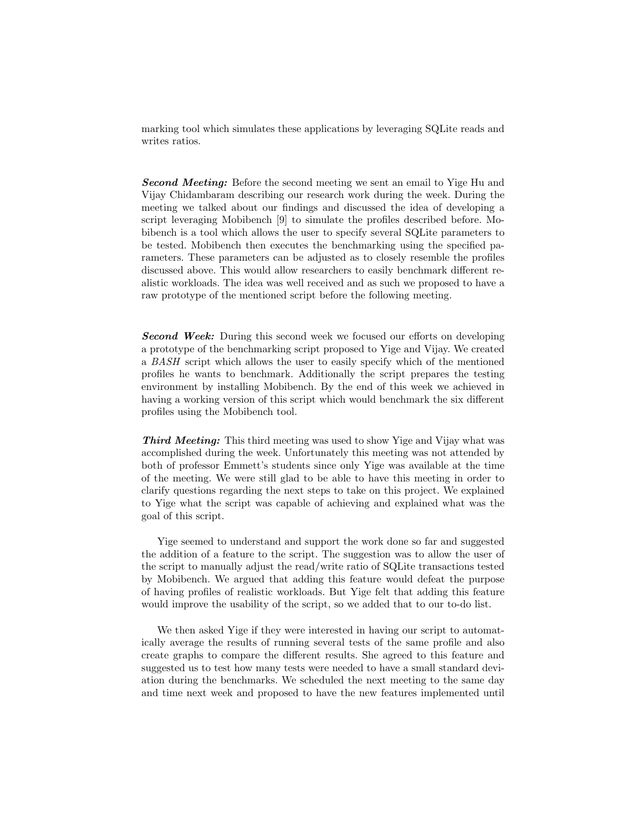marking tool which simulates these applications by leveraging SQLite reads and writes ratios.

**Second Meeting:** Before the second meeting we sent an email to Yige Hu and Vijay Chidambaram describing our research work during the week. During the meeting we talked about our findings and discussed the idea of developing a script leveraging Mobibench [9] to simulate the profiles described before. Mobibench is a tool which allows the user to specify several SQLite parameters to be tested. Mobibench then executes the benchmarking using the specified parameters. These parameters can be adjusted as to closely resemble the profiles discussed above. This would allow researchers to easily benchmark different realistic workloads. The idea was well received and as such we proposed to have a raw prototype of the mentioned script before the following meeting.

**Second Week:** During this second week we focused our efforts on developing a prototype of the benchmarking script proposed to Yige and Vijay. We created a BASH script which allows the user to easily specify which of the mentioned profiles he wants to benchmark. Additionally the script prepares the testing environment by installing Mobibench. By the end of this week we achieved in having a working version of this script which would benchmark the six different profiles using the Mobibench tool.

Third Meeting: This third meeting was used to show Yige and Vijay what was accomplished during the week. Unfortunately this meeting was not attended by both of professor Emmett's students since only Yige was available at the time of the meeting. We were still glad to be able to have this meeting in order to clarify questions regarding the next steps to take on this project. We explained to Yige what the script was capable of achieving and explained what was the goal of this script.

Yige seemed to understand and support the work done so far and suggested the addition of a feature to the script. The suggestion was to allow the user of the script to manually adjust the read/write ratio of SQLite transactions tested by Mobibench. We argued that adding this feature would defeat the purpose of having profiles of realistic workloads. But Yige felt that adding this feature would improve the usability of the script, so we added that to our to-do list.

We then asked Yige if they were interested in having our script to automatically average the results of running several tests of the same profile and also create graphs to compare the different results. She agreed to this feature and suggested us to test how many tests were needed to have a small standard deviation during the benchmarks. We scheduled the next meeting to the same day and time next week and proposed to have the new features implemented until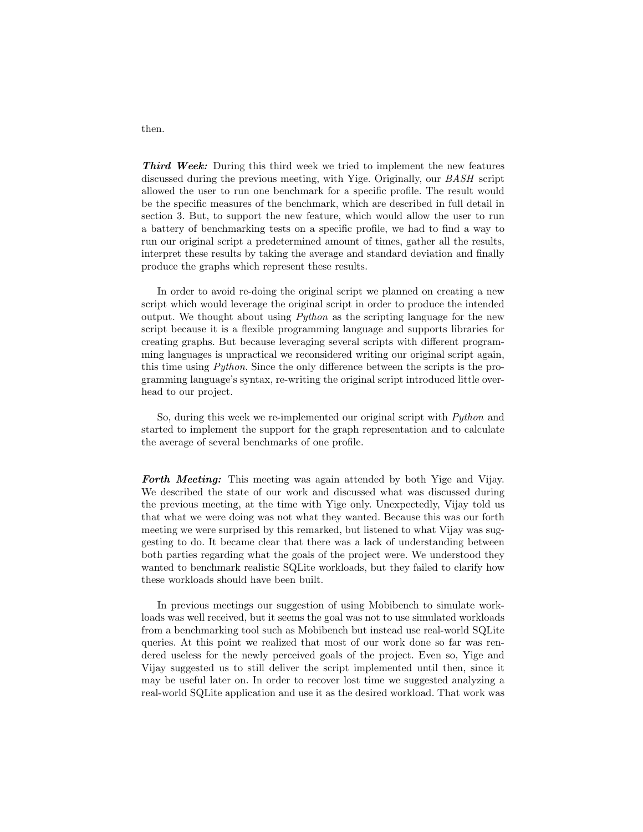Third Week: During this third week we tried to implement the new features discussed during the previous meeting, with Yige. Originally, our BASH script allowed the user to run one benchmark for a specific profile. The result would be the specific measures of the benchmark, which are described in full detail in section 3. But, to support the new feature, which would allow the user to run a battery of benchmarking tests on a specific profile, we had to find a way to run our original script a predetermined amount of times, gather all the results, interpret these results by taking the average and standard deviation and finally produce the graphs which represent these results.

In order to avoid re-doing the original script we planned on creating a new script which would leverage the original script in order to produce the intended output. We thought about using  $Python$  as the scripting language for the new script because it is a flexible programming language and supports libraries for creating graphs. But because leveraging several scripts with different programming languages is unpractical we reconsidered writing our original script again, this time using Python. Since the only difference between the scripts is the programming language's syntax, re-writing the original script introduced little overhead to our project.

So, during this week we re-implemented our original script with Python and started to implement the support for the graph representation and to calculate the average of several benchmarks of one profile.

Forth Meeting: This meeting was again attended by both Yige and Vijay. We described the state of our work and discussed what was discussed during the previous meeting, at the time with Yige only. Unexpectedly, Vijay told us that what we were doing was not what they wanted. Because this was our forth meeting we were surprised by this remarked, but listened to what Vijay was suggesting to do. It became clear that there was a lack of understanding between both parties regarding what the goals of the project were. We understood they wanted to benchmark realistic SQLite workloads, but they failed to clarify how these workloads should have been built.

In previous meetings our suggestion of using Mobibench to simulate workloads was well received, but it seems the goal was not to use simulated workloads from a benchmarking tool such as Mobibench but instead use real-world SQLite queries. At this point we realized that most of our work done so far was rendered useless for the newly perceived goals of the project. Even so, Yige and Vijay suggested us to still deliver the script implemented until then, since it may be useful later on. In order to recover lost time we suggested analyzing a real-world SQLite application and use it as the desired workload. That work was

then.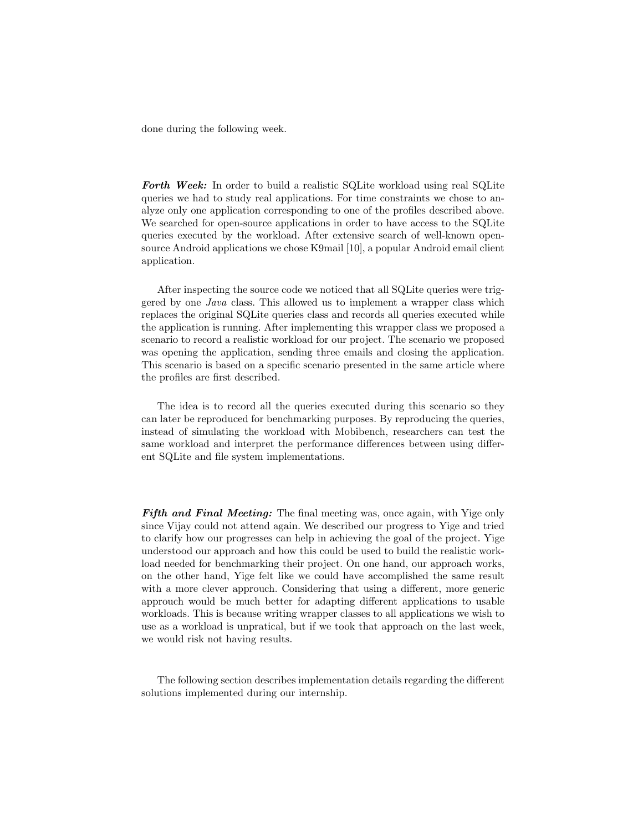done during the following week.

Forth Week: In order to build a realistic SQLite workload using real SQLite queries we had to study real applications. For time constraints we chose to analyze only one application corresponding to one of the profiles described above. We searched for open-source applications in order to have access to the SQLite queries executed by the workload. After extensive search of well-known opensource Android applications we chose K9mail [10], a popular Android email client application.

After inspecting the source code we noticed that all SQLite queries were triggered by one Java class. This allowed us to implement a wrapper class which replaces the original SQLite queries class and records all queries executed while the application is running. After implementing this wrapper class we proposed a scenario to record a realistic workload for our project. The scenario we proposed was opening the application, sending three emails and closing the application. This scenario is based on a specific scenario presented in the same article where the profiles are first described.

The idea is to record all the queries executed during this scenario so they can later be reproduced for benchmarking purposes. By reproducing the queries, instead of simulating the workload with Mobibench, researchers can test the same workload and interpret the performance differences between using different SQLite and file system implementations.

Fifth and Final Meeting: The final meeting was, once again, with Yige only since Vijay could not attend again. We described our progress to Yige and tried to clarify how our progresses can help in achieving the goal of the project. Yige understood our approach and how this could be used to build the realistic workload needed for benchmarking their project. On one hand, our approach works, on the other hand, Yige felt like we could have accomplished the same result with a more clever approuch. Considering that using a different, more generic approuch would be much better for adapting different applications to usable workloads. This is because writing wrapper classes to all applications we wish to use as a workload is unpratical, but if we took that approach on the last week, we would risk not having results.

The following section describes implementation details regarding the different solutions implemented during our internship.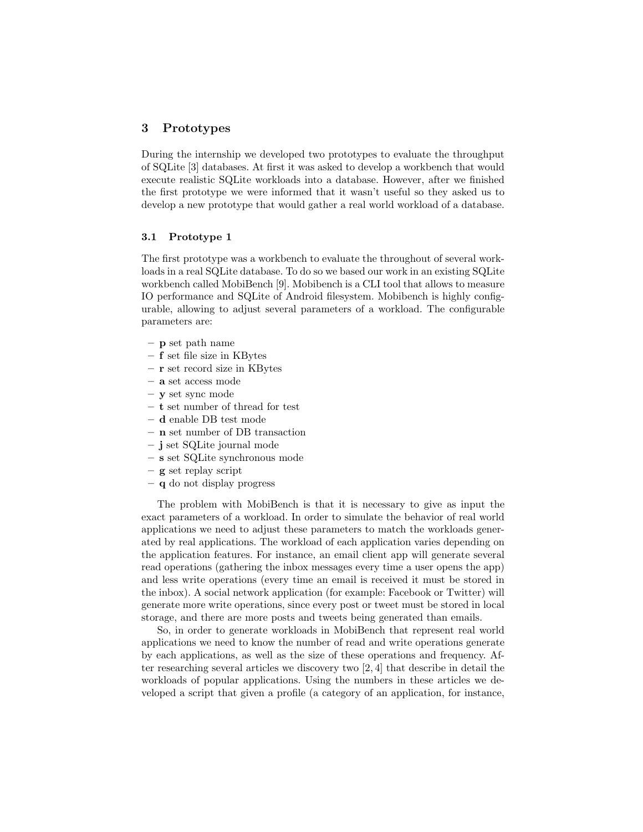## 3 Prototypes

During the internship we developed two prototypes to evaluate the throughput of SQLite [3] databases. At first it was asked to develop a workbench that would execute realistic SQLite workloads into a database. However, after we finished the first prototype we were informed that it wasn't useful so they asked us to develop a new prototype that would gather a real world workload of a database.

#### 3.1 Prototype 1

The first prototype was a workbench to evaluate the throughout of several workloads in a real SQLite database. To do so we based our work in an existing SQLite workbench called MobiBench [9]. Mobibench is a CLI tool that allows to measure IO performance and SQLite of Android filesystem. Mobibench is highly configurable, allowing to adjust several parameters of a workload. The configurable parameters are:

- p set path name
- f set file size in KBytes
- r set record size in KBytes
- a set access mode
- y set sync mode
- t set number of thread for test
- d enable DB test mode
- n set number of DB transaction
- j set SQLite journal mode
- s set SQLite synchronous mode
- g set replay script
- q do not display progress

The problem with MobiBench is that it is necessary to give as input the exact parameters of a workload. In order to simulate the behavior of real world applications we need to adjust these parameters to match the workloads generated by real applications. The workload of each application varies depending on the application features. For instance, an email client app will generate several read operations (gathering the inbox messages every time a user opens the app) and less write operations (every time an email is received it must be stored in the inbox). A social network application (for example: Facebook or Twitter) will generate more write operations, since every post or tweet must be stored in local storage, and there are more posts and tweets being generated than emails.

So, in order to generate workloads in MobiBench that represent real world applications we need to know the number of read and write operations generate by each applications, as well as the size of these operations and frequency. After researching several articles we discovery two  $[2, 4]$  that describe in detail the workloads of popular applications. Using the numbers in these articles we developed a script that given a profile (a category of an application, for instance,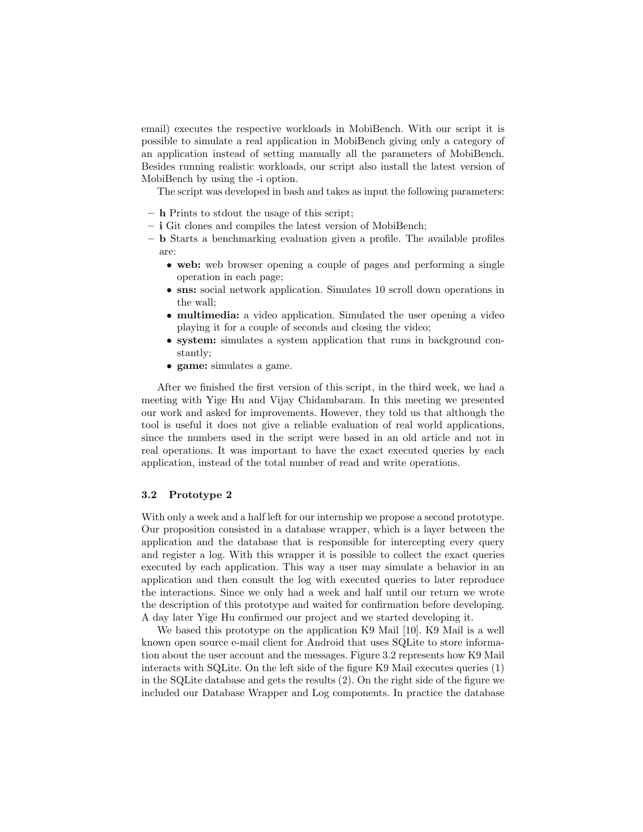email) executes the respective workloads in MobiBench. With our script it is possible to simulate a real application in MobiBench giving only a category of an application instead of setting manually all the parameters of MobiBench. Besides running realistic workloads, our script also install the latest version of MobiBench by using the -i option.

The script was developed in bash and takes as input the following parameters:

- h Prints to stdout the usage of this script;
- i Git clones and compiles the latest version of MobiBench;
- b Starts a benchmarking evaluation given a profile. The available profiles are:
	- web: web browser opening a couple of pages and performing a single operation in each page;
	- sns: social network application. Simulates 10 scroll down operations in the wall;
	- multimedia: a video application. Simulated the user opening a video playing it for a couple of seconds and closing the video;
	- system: simulates a system application that runs in background constantly;
	- game: simulates a game.

After we finished the first version of this script, in the third week, we had a meeting with Yige Hu and Vijay Chidambaram. In this meeting we presented our work and asked for improvements. However, they told us that although the tool is useful it does not give a reliable evaluation of real world applications, since the numbers used in the script were based in an old article and not in real operations. It was important to have the exact executed queries by each application, instead of the total number of read and write operations.

#### 3.2 Prototype 2

With only a week and a half left for our internship we propose a second prototype. Our proposition consisted in a database wrapper, which is a layer between the application and the database that is responsible for intercepting every query and register a log. With this wrapper it is possible to collect the exact queries executed by each application. This way a user may simulate a behavior in an application and then consult the log with executed queries to later reproduce the interactions. Since we only had a week and half until our return we wrote the description of this prototype and waited for confirmation before developing. A day later Yige Hu confirmed our project and we started developing it.

We based this prototype on the application K9 Mail [10]. K9 Mail is a well known open source e-mail client for Android that uses SQLite to store information about the user account and the messages. Figure 3.2 represents how K9 Mail interacts with SQLite. On the left side of the figure K9 Mail executes queries (1) in the SQLite database and gets the results (2). On the right side of the figure we included our Database Wrapper and Log components. In practice the database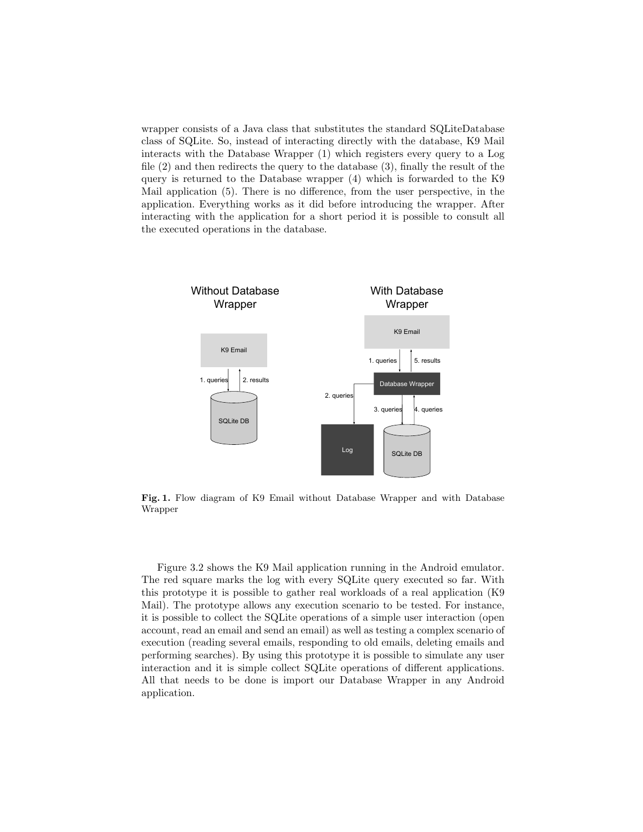wrapper consists of a Java class that substitutes the standard SQLiteDatabase class of SQLite. So, instead of interacting directly with the database, K9 Mail interacts with the Database Wrapper (1) which registers every query to a Log file (2) and then redirects the query to the database (3), finally the result of the query is returned to the Database wrapper (4) which is forwarded to the K9 Mail application (5). There is no difference, from the user perspective, in the application. Everything works as it did before introducing the wrapper. After interacting with the application for a short period it is possible to consult all the executed operations in the database.



Fig. 1. Flow diagram of K9 Email without Database Wrapper and with Database Wrapper

Figure 3.2 shows the K9 Mail application running in the Android emulator. The red square marks the log with every SQLite query executed so far. With this prototype it is possible to gather real workloads of a real application (K9 Mail). The prototype allows any execution scenario to be tested. For instance, it is possible to collect the SQLite operations of a simple user interaction (open account, read an email and send an email) as well as testing a complex scenario of execution (reading several emails, responding to old emails, deleting emails and performing searches). By using this prototype it is possible to simulate any user interaction and it is simple collect SQLite operations of different applications. All that needs to be done is import our Database Wrapper in any Android application.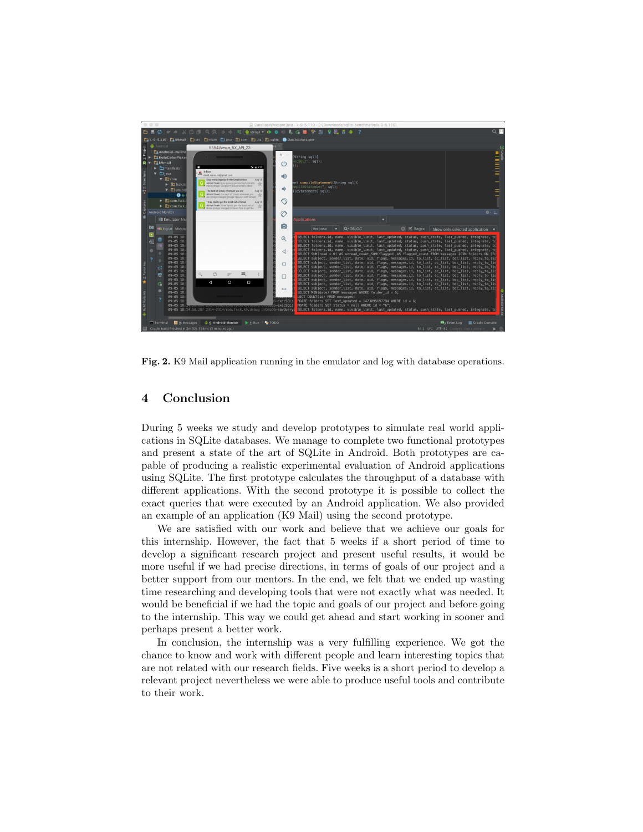

Fig. 2. K9 Mail application running in the emulator and log with database operations.

## 4 Conclusion

During 5 weeks we study and develop prototypes to simulate real world applications in SQLite databases. We manage to complete two functional prototypes and present a state of the art of SQLite in Android. Both prototypes are capable of producing a realistic experimental evaluation of Android applications using SQLite. The first prototype calculates the throughput of a database with different applications. With the second prototype it is possible to collect the exact queries that were executed by an Android application. We also provided an example of an application (K9 Mail) using the second prototype.

We are satisfied with our work and believe that we achieve our goals for this internship. However, the fact that 5 weeks if a short period of time to develop a significant research project and present useful results, it would be more useful if we had precise directions, in terms of goals of our project and a better support from our mentors. In the end, we felt that we ended up wasting time researching and developing tools that were not exactly what was needed. It would be beneficial if we had the topic and goals of our project and before going to the internship. This way we could get ahead and start working in sooner and perhaps present a better work.

In conclusion, the internship was a very fulfilling experience. We got the chance to know and work with different people and learn interesting topics that are not related with our research fields. Five weeks is a short period to develop a relevant project nevertheless we were able to produce useful tools and contribute to their work.